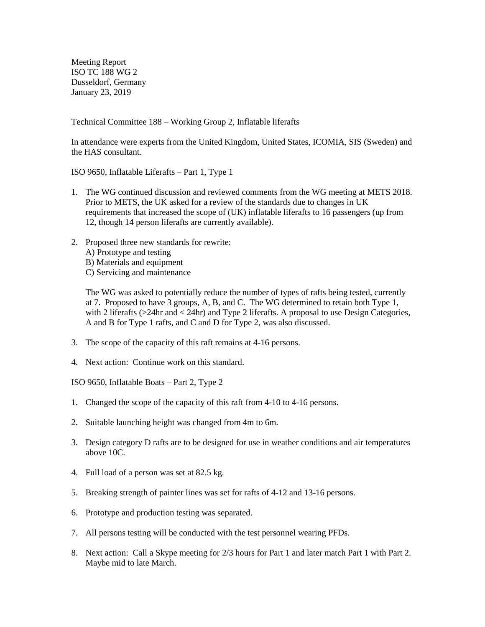Meeting Report ISO TC 188 WG 2 Dusseldorf, Germany January 23, 2019

Technical Committee 188 – Working Group 2, Inflatable liferafts

In attendance were experts from the United Kingdom, United States, ICOMIA, SIS (Sweden) and the HAS consultant.

ISO 9650, Inflatable Liferafts – Part 1, Type 1

- 1. The WG continued discussion and reviewed comments from the WG meeting at METS 2018. Prior to METS, the UK asked for a review of the standards due to changes in UK requirements that increased the scope of (UK) inflatable liferafts to 16 passengers (up from 12, though 14 person liferafts are currently available).
- 2. Proposed three new standards for rewrite: A) Prototype and testing B) Materials and equipment C) Servicing and maintenance

The WG was asked to potentially reduce the number of types of rafts being tested, currently at 7. Proposed to have 3 groups, A, B, and C. The WG determined to retain both Type 1, with 2 liferafts (>24hr and < 24hr) and Type 2 liferafts. A proposal to use Design Categories, A and B for Type 1 rafts, and C and D for Type 2, was also discussed.

- 3. The scope of the capacity of this raft remains at 4-16 persons.
- 4. Next action: Continue work on this standard.

ISO 9650, Inflatable Boats – Part 2, Type 2

- 1. Changed the scope of the capacity of this raft from 4-10 to 4-16 persons.
- 2. Suitable launching height was changed from 4m to 6m.
- 3. Design category D rafts are to be designed for use in weather conditions and air temperatures above 10C.
- 4. Full load of a person was set at 82.5 kg.
- 5. Breaking strength of painter lines was set for rafts of 4-12 and 13-16 persons.
- 6. Prototype and production testing was separated.
- 7. All persons testing will be conducted with the test personnel wearing PFDs.
- 8. Next action: Call a Skype meeting for 2/3 hours for Part 1 and later match Part 1 with Part 2. Maybe mid to late March.